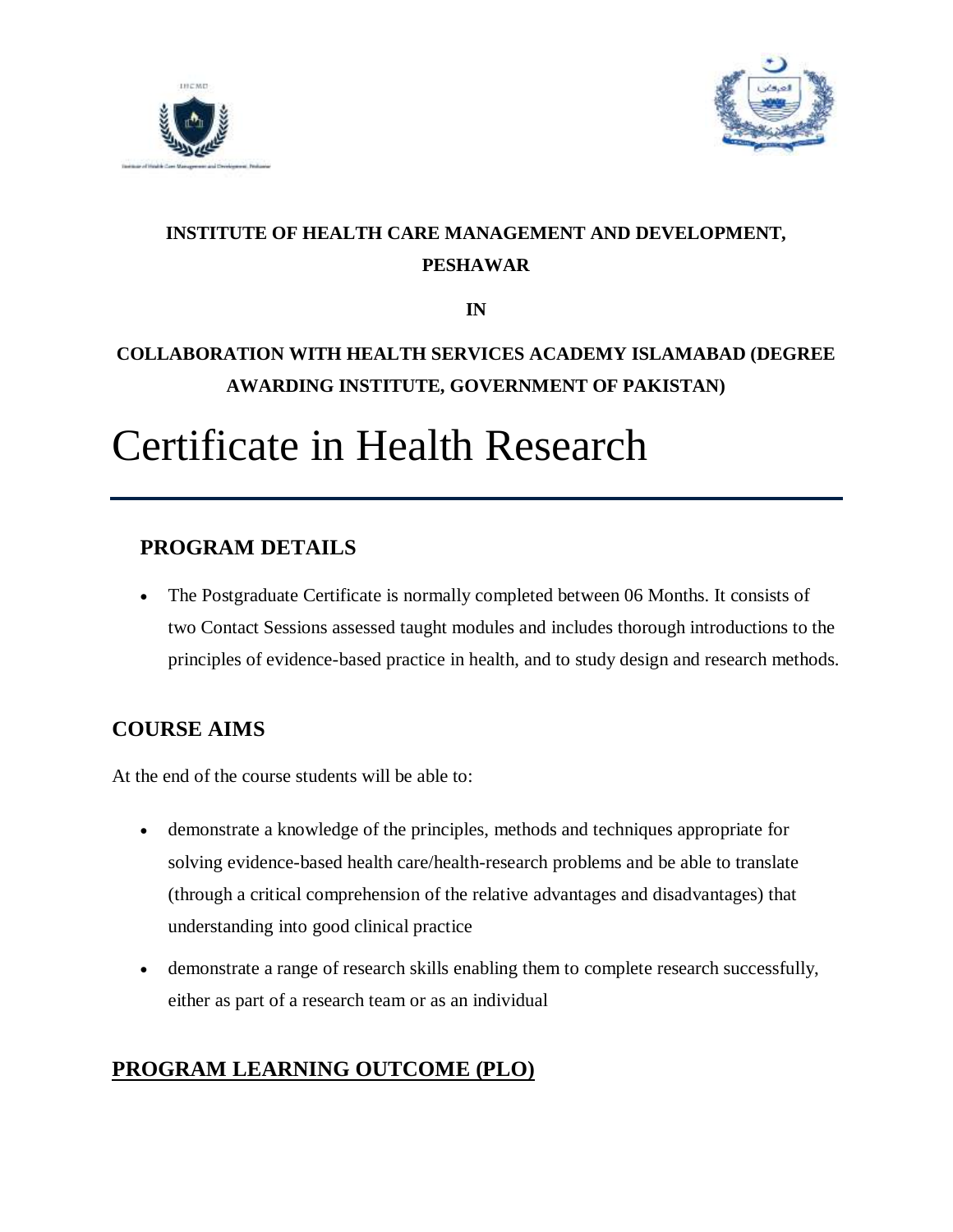



# **INSTITUTE OF HEALTH CARE MANAGEMENT AND DEVELOPMENT, PESHAWAR**

**IN**

# **COLLABORATION WITH HEALTH SERVICES ACADEMY ISLAMABAD (DEGREE AWARDING INSTITUTE, GOVERNMENT OF PAKISTAN)**

# Certificate in Health Research

## **PROGRAM DETAILS**

 The Postgraduate Certificate is normally completed between 06 Months. It consists of two Contact Sessions assessed taught modules and includes thorough introductions to the principles of evidence-based practice in health, and to study design and research methods.

# **COURSE AIMS**

At the end of the course students will be able to:

- demonstrate a knowledge of the principles, methods and techniques appropriate for solving evidence-based health care/health-research problems and be able to translate (through a critical comprehension of the relative advantages and disadvantages) that understanding into good clinical practice
- demonstrate a range of research skills enabling them to complete research successfully, either as part of a research team or as an individual

# **PROGRAM LEARNING OUTCOME (PLO)**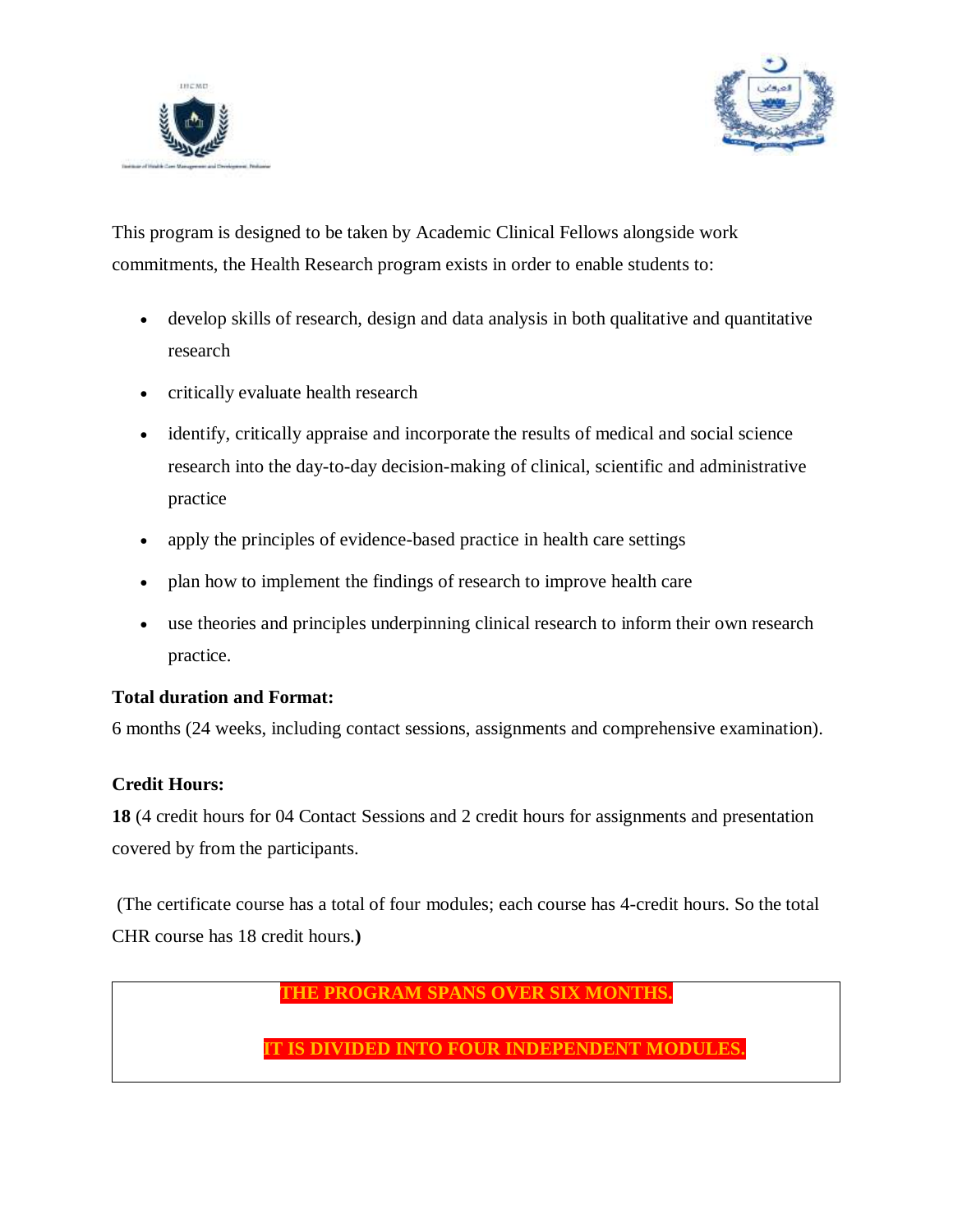



This program is designed to be taken by Academic Clinical Fellows alongside work commitments, the Health Research program exists in order to enable students to:

- develop skills of research, design and data analysis in both qualitative and quantitative research
- critically evaluate health research
- identify, critically appraise and incorporate the results of medical and social science research into the day-to-day decision-making of clinical, scientific and administrative practice
- apply the principles of evidence-based practice in health care settings
- plan how to implement the findings of research to improve health care
- use theories and principles underpinning clinical research to inform their own research practice.

#### **Total duration and Format:**

6 months (24 weeks, including contact sessions, assignments and comprehensive examination).

#### **Credit Hours:**

**18** (4 credit hours for 04 Contact Sessions and 2 credit hours for assignments and presentation covered by from the participants.

(The certificate course has a total of four modules; each course has 4-credit hours. So the total CHR course has 18 credit hours.**)** 

#### **THE PROGRAM SPANS OVER SIX MONTHS.**

**IS DIVIDED INTO FOUR INDEPENDENT MODULES**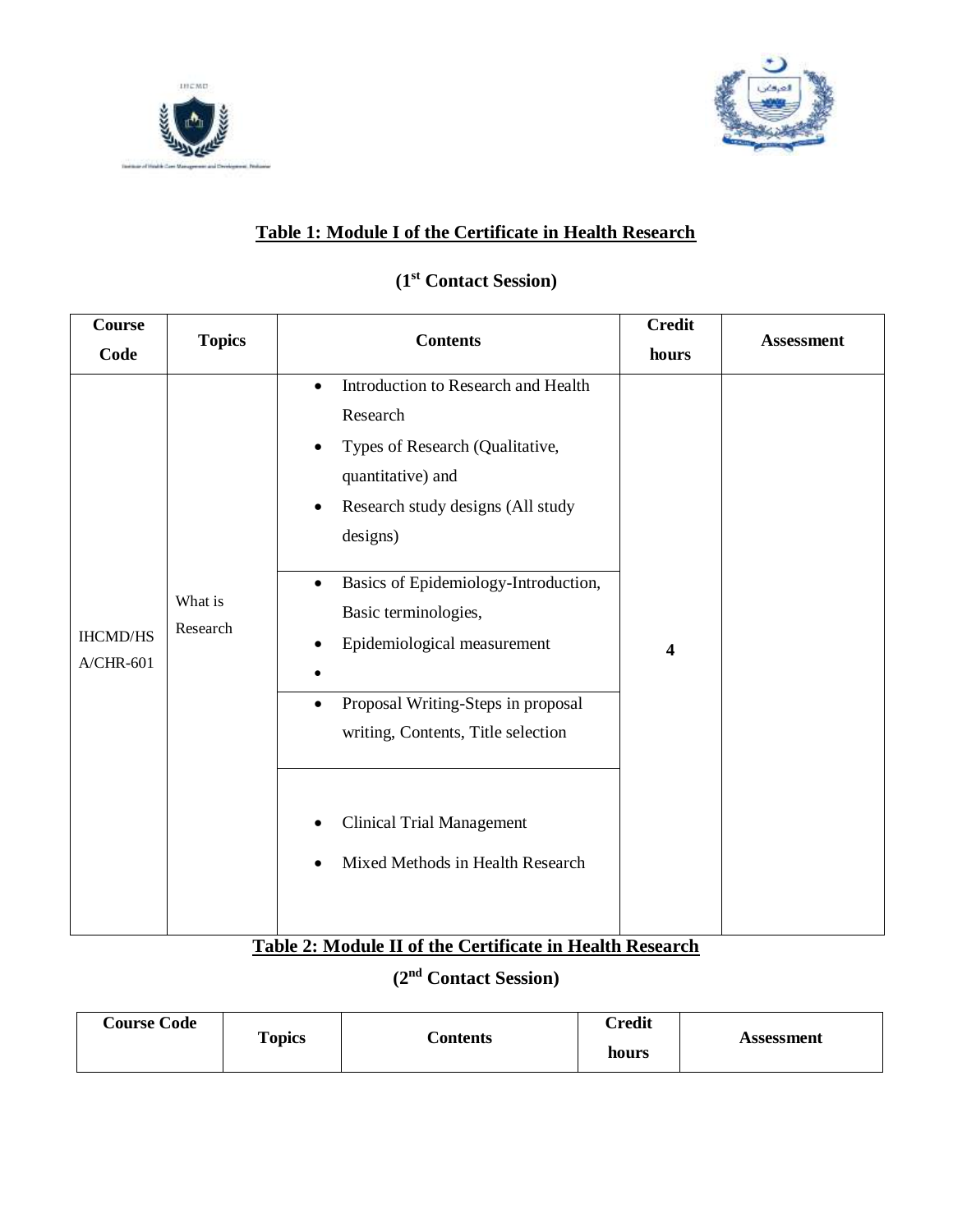



## **Table 1: Module I of the Certificate in Health Research**

## **(1st Contact Session)**

| <b>Course</b>                  |                     |                                                                                                                                                                                                                                                                                                                                                                                                                                                                 | <b>Credit</b>           |                   |
|--------------------------------|---------------------|-----------------------------------------------------------------------------------------------------------------------------------------------------------------------------------------------------------------------------------------------------------------------------------------------------------------------------------------------------------------------------------------------------------------------------------------------------------------|-------------------------|-------------------|
| Code                           | <b>Topics</b>       | <b>Contents</b>                                                                                                                                                                                                                                                                                                                                                                                                                                                 | hours                   | <b>Assessment</b> |
| <b>IHCMD/HS</b><br>$A/CHR-601$ | What is<br>Research | Introduction to Research and Health<br>$\bullet$<br>Research<br>Types of Research (Qualitative,<br>$\bullet$<br>quantitative) and<br>Research study designs (All study<br>designs)<br>Basics of Epidemiology-Introduction,<br>$\bullet$<br>Basic terminologies,<br>Epidemiological measurement<br>Proposal Writing-Steps in proposal<br>$\bullet$<br>writing, Contents, Title selection<br><b>Clinical Trial Management</b><br>Mixed Methods in Health Research | $\overline{\mathbf{4}}$ |                   |
|                                |                     |                                                                                                                                                                                                                                                                                                                                                                                                                                                                 |                         |                   |

## **Table 2: Module II of the Certificate in Health Research**

## **(2nd Contact Session)**

| <b>Course Code</b><br><b>Topics</b> | Contents | Credit<br>hours | Assessment |
|-------------------------------------|----------|-----------------|------------|
|-------------------------------------|----------|-----------------|------------|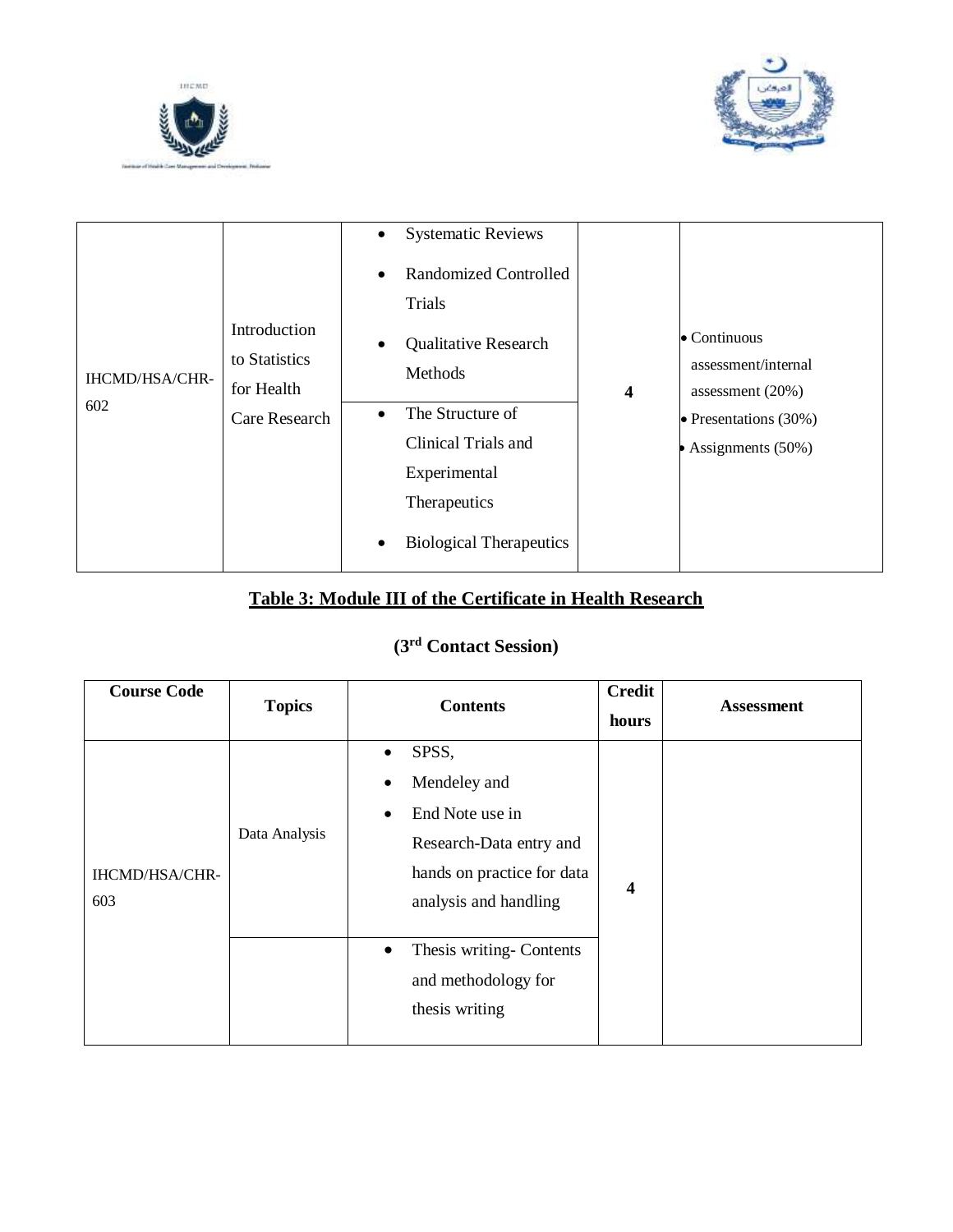



| <b>IHCMD/HSA/CHR-</b><br>602 | Introduction<br>to Statistics<br>for Health<br>Care Research | <b>Systematic Reviews</b><br>$\bullet$<br><b>Randomized Controlled</b><br>$\bullet$<br>Trials<br><b>Qualitative Research</b><br>$\bullet$<br>Methods<br>The Structure of<br>$\bullet$<br>Clinical Trials and<br>Experimental<br>Therapeutics<br><b>Biological Therapeutics</b><br>$\bullet$ | $\overline{\mathbf{4}}$ | $\bullet$ Continuous<br>assessment/internal<br>assessment $(20\%)$<br>$\bullet$ Presentations (30%)<br>Assignments (50%) |
|------------------------------|--------------------------------------------------------------|---------------------------------------------------------------------------------------------------------------------------------------------------------------------------------------------------------------------------------------------------------------------------------------------|-------------------------|--------------------------------------------------------------------------------------------------------------------------|
|------------------------------|--------------------------------------------------------------|---------------------------------------------------------------------------------------------------------------------------------------------------------------------------------------------------------------------------------------------------------------------------------------------|-------------------------|--------------------------------------------------------------------------------------------------------------------------|

## **Table 3: Module III of the Certificate in Health Research**

# **(3rd Contact Session)**

| <b>Course Code</b>    | <b>Topics</b> | <b>Contents</b>                                                                                                                                                                                           | <b>Credit</b><br>hours | <b>Assessment</b> |
|-----------------------|---------------|-----------------------------------------------------------------------------------------------------------------------------------------------------------------------------------------------------------|------------------------|-------------------|
| IHCMD/HSA/CHR-<br>603 | Data Analysis | SPSS,<br>$\bullet$<br>Mendeley and<br>$\bullet$<br>End Note use in<br>$\bullet$<br>Research-Data entry and<br>hands on practice for data<br>analysis and handling<br>Thesis writing-Contents<br>$\bullet$ | $\boldsymbol{4}$       |                   |
|                       |               | and methodology for<br>thesis writing                                                                                                                                                                     |                        |                   |